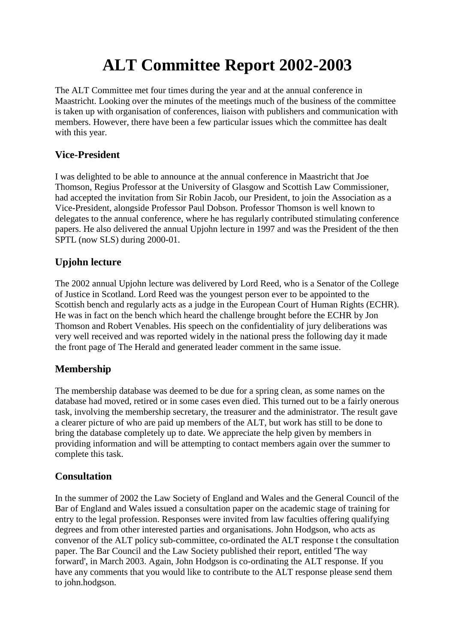# **ALT Committee Report 2002-2003**

The ALT Committee met four times during the year and at the annual conference in Maastricht. Looking over the minutes of the meetings much of the business of the committee is taken up with organisation of conferences, liaison with publishers and communication with members. However, there have been a few particular issues which the committee has dealt with this year.

## **Vice-President**

I was delighted to be able to announce at the annual conference in Maastricht that Joe Thomson, Regius Professor at the University of Glasgow and Scottish Law Commissioner, had accepted the invitation from Sir Robin Jacob, our President, to join the Association as a Vice-President, alongside Professor Paul Dobson. Professor Thomson is well known to delegates to the annual conference, where he has regularly contributed stimulating conference papers. He also delivered the annual Upjohn lecture in 1997 and was the President of the then SPTL (now SLS) during 2000-01.

## **Upjohn lecture**

The 2002 annual Upjohn lecture was delivered by Lord Reed, who is a Senator of the College of Justice in Scotland. Lord Reed was the youngest person ever to be appointed to the Scottish bench and regularly acts as a judge in the European Court of Human Rights (ECHR). He was in fact on the bench which heard the challenge brought before the ECHR by Jon Thomson and Robert Venables. His speech on the confidentiality of jury deliberations was very well received and was reported widely in the national press the following day it made the front page of The Herald and generated leader comment in the same issue.

#### **Membership**

The membership database was deemed to be due for a spring clean, as some names on the database had moved, retired or in some cases even died. This turned out to be a fairly onerous task, involving the membership secretary, the treasurer and the administrator. The result gave a clearer picture of who are paid up members of the ALT, but work has still to be done to bring the database completely up to date. We appreciate the help given by members in providing information and will be attempting to contact members again over the summer to complete this task.

#### **Consultation**

In the summer of 2002 the Law Society of England and Wales and the General Council of the Bar of England and Wales issued a consultation paper on the academic stage of training for entry to the legal profession. Responses were invited from law faculties offering qualifying degrees and from other interested parties and organisations. John Hodgson, who acts as convenor of the ALT policy sub-committee, co-ordinated the ALT response t the consultation paper. The Bar Council and the Law Society published their report, entitled 'The way forward', in March 2003. Again, John Hodgson is co-ordinating the ALT response. If you have any comments that you would like to contribute to the ALT response please send them to john.hodgson.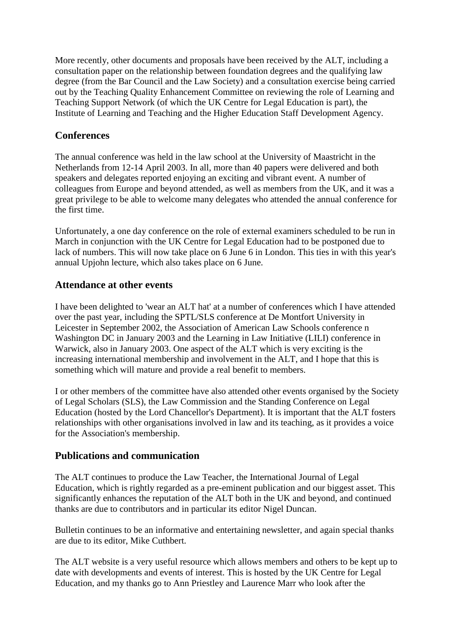More recently, other documents and proposals have been received by the ALT, including a consultation paper on the relationship between foundation degrees and the qualifying law degree (from the Bar Council and the Law Society) and a consultation exercise being carried out by the Teaching Quality Enhancement Committee on reviewing the role of Learning and Teaching Support Network (of which the UK Centre for Legal Education is part), the Institute of Learning and Teaching and the Higher Education Staff Development Agency.

## **Conferences**

The annual conference was held in the law school at the University of Maastricht in the Netherlands from 12-14 April 2003. In all, more than 40 papers were delivered and both speakers and delegates reported enjoying an exciting and vibrant event. A number of colleagues from Europe and beyond attended, as well as members from the UK, and it was a great privilege to be able to welcome many delegates who attended the annual conference for the first time.

Unfortunately, a one day conference on the role of external examiners scheduled to be run in March in conjunction with the UK Centre for Legal Education had to be postponed due to lack of numbers. This will now take place on 6 June 6 in London. This ties in with this year's annual Upjohn lecture, which also takes place on 6 June.

#### **Attendance at other events**

I have been delighted to 'wear an ALT hat' at a number of conferences which I have attended over the past year, including the SPTL/SLS conference at De Montfort University in Leicester in September 2002, the Association of American Law Schools conference n Washington DC in January 2003 and the Learning in Law Initiative (LILI) conference in Warwick, also in January 2003. One aspect of the ALT which is very exciting is the increasing international membership and involvement in the ALT, and I hope that this is something which will mature and provide a real benefit to members.

I or other members of the committee have also attended other events organised by the Society of Legal Scholars (SLS), the Law Commission and the Standing Conference on Legal Education (hosted by the Lord Chancellor's Department). It is important that the ALT fosters relationships with other organisations involved in law and its teaching, as it provides a voice for the Association's membership.

#### **Publications and communication**

The ALT continues to produce the Law Teacher, the International Journal of Legal Education, which is rightly regarded as a pre-eminent publication and our biggest asset. This significantly enhances the reputation of the ALT both in the UK and beyond, and continued thanks are due to contributors and in particular its editor Nigel Duncan.

Bulletin continues to be an informative and entertaining newsletter, and again special thanks are due to its editor, Mike Cuthbert.

The ALT website is a very useful resource which allows members and others to be kept up to date with developments and events of interest. This is hosted by the UK Centre for Legal Education, and my thanks go to Ann Priestley and Laurence Marr who look after the